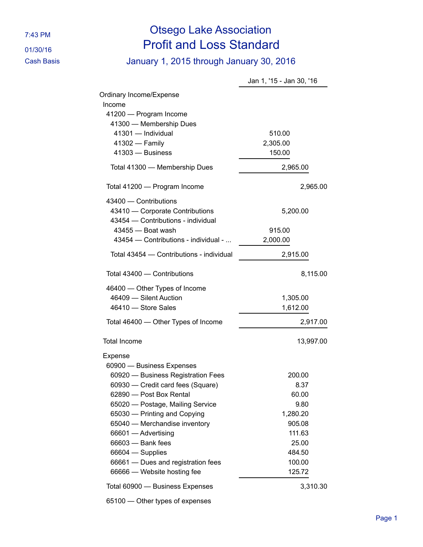## 7:43 PM Otsego Lake Association 01/30/16 Profit and Loss Standard

Cash Basis January 1, 2015 through January 30, 2016

|                                                                                                | Jan 1, '15 - Jan 30, '16 |
|------------------------------------------------------------------------------------------------|--------------------------|
| Ordinary Income/Expense<br>Income                                                              |                          |
| 41200 - Program Income                                                                         |                          |
| 41300 - Membership Dues                                                                        |                          |
| 41301 - Individual                                                                             | 510.00<br>2,305.00       |
| 41302 - Family<br>41303 - Business                                                             | 150.00                   |
|                                                                                                |                          |
| Total 41300 - Membership Dues                                                                  | 2,965.00                 |
| Total 41200 - Program Income                                                                   | 2,965.00                 |
| 43400 - Contributions<br>43410 - Corporate Contributions<br>43454 - Contributions - individual | 5,200.00                 |
| 43455 - Boat wash                                                                              | 915.00                   |
| 43454 - Contributions - individual -                                                           | 2,000.00                 |
| Total 43454 - Contributions - individual                                                       | 2,915.00                 |
| Total 43400 - Contributions                                                                    | 8,115.00                 |
| 46400 - Other Types of Income                                                                  |                          |
| 46409 - Silent Auction                                                                         | 1,305.00                 |
| 46410 - Store Sales                                                                            | 1,612.00                 |
| Total 46400 - Other Types of Income                                                            | 2,917.00                 |
|                                                                                                |                          |
| <b>Total Income</b>                                                                            | 13,997.00                |
| Expense                                                                                        |                          |
| 60900 - Business Expenses                                                                      |                          |
| 60920 - Business Registration Fees                                                             | 200.00                   |
| 60930 - Credit card fees (Square)                                                              | 8.37                     |
| 62890 - Post Box Rental                                                                        | 60.00                    |
| 65020 - Postage, Mailing Service                                                               | 9.80                     |
| 65030 - Printing and Copying                                                                   | 1,280.20                 |
| 65040 - Merchandise inventory                                                                  | 905.08                   |
| 66601 - Advertising                                                                            | 111.63                   |
| 66603 - Bank fees<br>66604 - Supplies                                                          | 25.00<br>484.50          |
| 66661 - Dues and registration fees                                                             | 100.00                   |
| 66666 - Website hosting fee                                                                    | 125.72                   |
| Total 60900 - Business Expenses                                                                | 3,310.30                 |
| 65100 - Other types of expenses                                                                |                          |